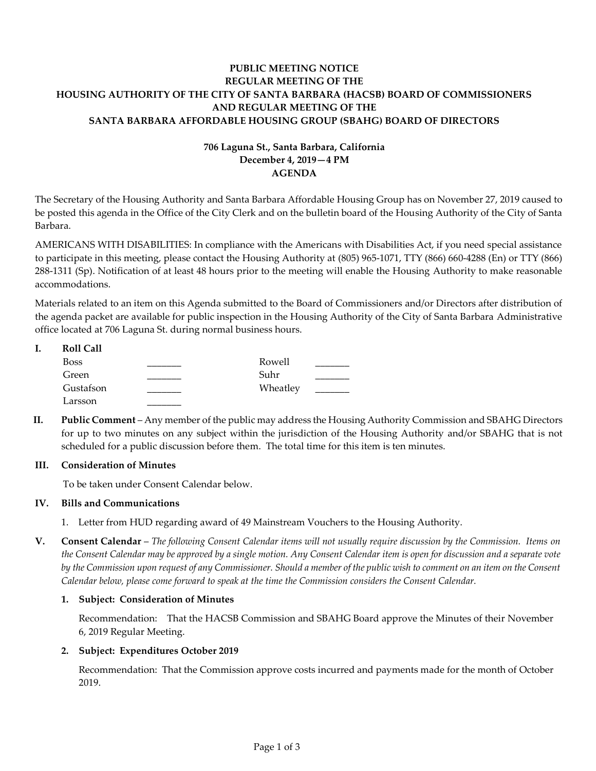# **PUBLIC MEETING NOTICE REGULAR MEETING OF THE HOUSING AUTHORITY OF THE CITY OF SANTA BARBARA (HACSB) BOARD OF COMMISSIONERS AND REGULAR MEETING OF THE SANTA BARBARA AFFORDABLE HOUSING GROUP (SBAHG) BOARD OF DIRECTORS**

# **706 Laguna St., Santa Barbara, California December 4, 2019—4 PM AGENDA**

The Secretary of the Housing Authority and Santa Barbara Affordable Housing Group has on November 27, 2019 caused to be posted this agenda in the Office of the City Clerk and on the bulletin board of the Housing Authority of the City of Santa Barbara.

AMERICANS WITH DISABILITIES: In compliance with the Americans with Disabilities Act, if you need special assistance to participate in this meeting, please contact the Housing Authority at (805) 965-1071, TTY (866) 660-4288 (En) or TTY (866) 288-1311 (Sp). Notification of at least 48 hours prior to the meeting will enable the Housing Authority to make reasonable accommodations.

Materials related to an item on this Agenda submitted to the Board of Commissioners and/or Directors after distribution of the agenda packet are available for public inspection in the Housing Authority of the City of Santa Barbara Administrative office located at 706 Laguna St. during normal business hours.

| <b>Roll Call</b> |          |  |
|------------------|----------|--|
| Boss             | Rowell   |  |
| Green            | Suhr     |  |
| Gustafson        | Wheatley |  |
| Larsson          |          |  |

**II. Public Comment** – Any member of the public may address the Housing Authority Commission and SBAHG Directors for up to two minutes on any subject within the jurisdiction of the Housing Authority and/or SBAHG that is not scheduled for a public discussion before them. The total time for this item is ten minutes.

# **III. Consideration of Minutes**

To be taken under Consent Calendar below.

# **IV. Bills and Communications**

- [1. Letter from HUD regarding award of 49 Mainstream Vouchers to the Housing Authority.](https://hacsb.org/download/meetings_2019/items/12_december/Item-IV.1.pdf)
- **V. Consent Calendar** *The following Consent Calendar items will not usually require discussion by the Commission. Items on the Consent Calendar may be approved by a single motion. Any Consent Calendar item is open for discussion and a separate vote by the Commission upon request of any Commissioner. Should a member of the public wish to comment on an item on the Consent Calendar below, please come forward to speak at the time the Commission considers the Consent Calendar.*

# **1. Subject: Consideration of Minutes**

Recommendation: That the HACSB Commission [and SBAHG Board approve the Minutes of their November](https://hacsb.org/download/meetings_2019/items/12_december/Item-V.1.pdf)  6, 2019 Regular Meeting.

# **2. Subject: Expenditures October 2019**

[Recommendation: That the Commission approve costs incurred and payments made for the month of October](https://hacsb.org/download/meetings_2019/items/12_december/Item-V.2.pdf) 2019.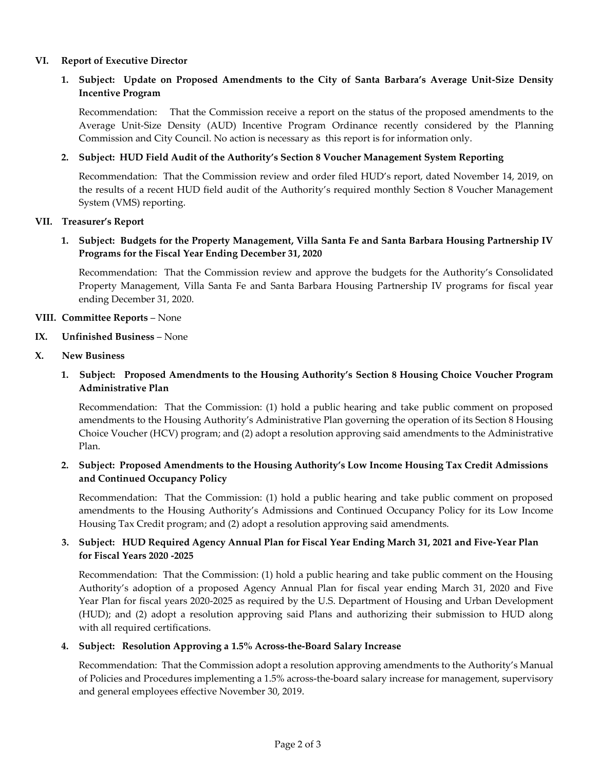## **VI. Report of Executive Director**

# **1. Subject: Update on Proposed Amendments to the City of Santa Barbara's Average Unit-Size Density Incentive Program**

Recommendation: That the Commission receive a report on the status of the proposed amendments to the [Average Unit-Size Density \(AUD\) Incentive Program Ordinance recently considered by the Planning](https://hacsb.org/download/meetings_2019/items/12_december/Item-VI.1.pdf)  Commission and City Council. No action is necessary as this report is for information only.

## **2. Subject: HUD Field Audit of the Authority's Section 8 Voucher Management System Reporting**

Recommendation: That the Commission review and order filed HUD's report, dated November 14, 2019, on [the results of a recent HUD field audit of the Authority's required monthly Section 8 Voucher Management](https://hacsb.org/download/meetings_2019/items/12_december/Item-VI.2.pdf)  System (VMS) reporting.

### **VII. Treasurer's Report**

# **1. Subject: Budgets for the Property Management, Villa Santa Fe and Santa Barbara Housing Partnership IV Programs for the Fiscal Year Ending December 31, 2020**

Recommendation: That the Commission review and approve the budgets for the Authority's Consolidated [Property Management, Villa Santa Fe and Santa Barbara Housing Partnership IV programs for fiscal year](https://hacsb.org/download/meetings_2019/items/12_december/Item-VII.1.pdf)  ending December 31, 2020.

#### **VIII. Committee Reports** – None

#### **IX. Unfinished Business** – None

## **X. New Business**

**1. Subject: Proposed Amendments to the Housing Authority's Section 8 Housing Choice Voucher Program Administrative Plan**

Recommendation: That the Commission: (1) hold a public hearing and take public comment on proposed amendments to the Housing Authority's Administrative Plan governing the operation of its Section 8 Housing [Choice Voucher \(HCV\) program; and \(2\) adopt a resolution approving said amendments to the Administrative](https://hacsb.org/download/meetings_2019/items/12_december/Item-X.1.pdf)  Plan.

# **2. Subject: Proposed Amendments to the Housing Authority's Low Income Housing Tax Credit Admissions and Continued Occupancy Policy**

[Recommendation: That the Commission: \(1\) hold a public hearing and take public comment on proposed](https://hacsb.org/download/meetings_2019/items/12_december/Item-X.2.pdf)  amendments to the Housing Authority's Admissions and Continued Occupancy Policy for its Low Income Housing Tax Credit program; and (2) adopt a resolution approving said amendments.

# **3. Subject: HUD Required Agency Annual Plan for Fiscal Year Ending March 31, 2021 and Five-Year Plan for Fiscal Years 2020 -2025**

Recommendation: That the Commission: (1) hold a public hearing and take public comment on the Housing Authority's adoption of a proposed Agency Annual Plan for fiscal year ending March 31, 2020 and Five [Year Plan for fiscal years 2020-2025 as required by the U.S. Department of Housing and Urban Development](https://hacsb.org/download/meetings_2019/items/12_december/Item-X.3.pdf)  (HUD); and (2) adopt a resolution approving said Plans and authorizing their submission to HUD along with all required certifications.

#### **4. Subject: Resolution Approving a 1.5% Across-the-Board Salary Increase**

Recommendation: That the Commission adopt a resolution approving amendments to the Authority's Manual [of Policies and Procedures implementing a 1.5% across-the-board salary increase for management, supervisory](https://hacsb.org/download/meetings_2019/items/12_december/Item-X.4.pdf)  and general employees effective November 30, 2019.